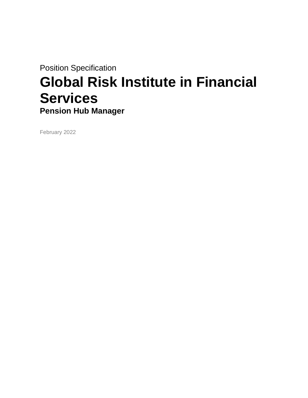Position Specification

# **Global Risk Institute in Financial Services Pension Hub Manager**

February 2022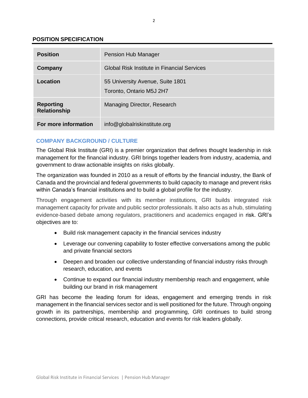## **POSITION SPECIFICATION**

| <b>Position</b>                         | Pension Hub Manager                                          |
|-----------------------------------------|--------------------------------------------------------------|
| Company                                 | Global Risk Institute in Financial Services                  |
| Location                                | 55 University Avenue, Suite 1801<br>Toronto, Ontario M5J 2H7 |
| <b>Reporting</b><br><b>Relationship</b> | Managing Director, Research                                  |
| For more information                    | info@globalriskinstitute.org                                 |

# **COMPANY BACKGROUND / CULTURE**

The Global Risk Institute (GRI) is a premier organization that defines thought leadership in risk management for the financial industry. GRI brings together leaders from industry, academia, and government to draw actionable insights on risks globally.

The organization was founded in 2010 as a result of efforts by the financial industry, the Bank of Canada and the provincial and federal governments to build capacity to manage and prevent risks within Canada's financial institutions and to build a global profile for the industry.

Through [engagement activities w](http://globalriskinstitute.org/events)ith its member institutions, GRI builds integrated risk management capacity for private and public sector professionals. It also acts as a hub, stimulating evidence-based debate among regulators, practitioners and academics engaged in risk. GRI's objectives are to:

- Build risk management capacity in the financial services industry
- Leverage our convening capability to foster effective conversations among the public and private financial sectors
- Deepen and broaden our collective understanding of financial industry risks through research, education, and events
- Continue to expand our financial industry membership reach and engagement, while building our brand in risk management

GRI has become the leading forum for ideas, engagement and emerging trends in risk management in the financial services sector and is well positioned for the future. Through ongoing growth in its partnerships, membership and programming, GRI continues to build strong connections, provide critical research, education and events for risk leaders globally.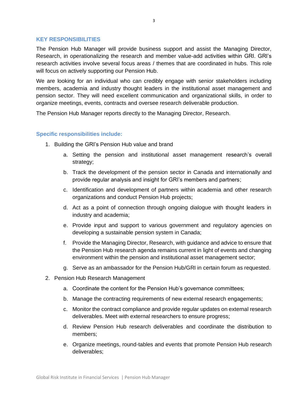#### **KEY RESPONSIBILITIES**

The Pension Hub Manager will provide business support and assist the Managing Director, Research, in operationalizing the research and member value-add activities within GRI. GRI's research activities involve several focus areas / themes that are coordinated in hubs. This role will focus on actively supporting our Pension Hub.

We are looking for an individual who can credibly engage with senior stakeholders including members, academia and industry thought leaders in the institutional asset management and pension sector. They will need excellent communication and organizational skills, in order to organize meetings, events, contracts and oversee research deliverable production.

The Pension Hub Manager reports directly to the Managing Director, Research.

## **Specific responsibilities include:**

- 1. Building the GRI's Pension Hub value and brand
	- a. Setting the pension and institutional asset management research's overall strategy;
	- b. Track the development of the pension sector in Canada and internationally and provide regular analysis and insight for GRI's members and partners;
	- c. Identification and development of partners within academia and other research organizations and conduct Pension Hub projects;
	- d. Act as a point of connection through ongoing dialogue with thought leaders in industry and academia;
	- e. Provide input and support to various government and regulatory agencies on developing a sustainable pension system in Canada;
	- f. Provide the Managing Director, Research, with guidance and advice to ensure that the Pension Hub research agenda remains current in light of events and changing environment within the pension and institutional asset management sector;
	- g. Serve as an ambassador for the Pension Hub/GRI in certain forum as requested.
- 2. Pension Hub Research Management
	- a. Coordinate the content for the Pension Hub's governance committees;
	- b. Manage the contracting requirements of new external research engagements;
	- c. Monitor the contract compliance and provide regular updates on external research deliverables. Meet with external researchers to ensure progress;
	- d. Review Pension Hub research deliverables and coordinate the distribution to members;
	- e. Organize meetings, round-tables and events that promote Pension Hub research deliverables;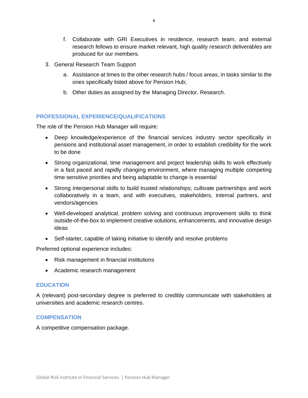- f. Collaborate with GRI Executives in residence, research team, and external research fellows to ensure market relevant, high quality research deliverables are produced for our members.
- 3. General Research Team Support
	- a. Assistance at times to the other research hubs / focus areas, in tasks similar to the ones specifically listed above for Pension Hub;
	- b. Other duties as assigned by the Managing Director, Research.

## **PROFESSIONAL EXPERIENCE/QUALIFICATIONS**

The role of the Pension Hub Manager will require:

- Deep knowledge/experience of the financial services industry sector specifically in pensions and institutional asset management, in order to establish credibility for the work to be done
- Strong organizational, time management and project leadership skills to work effectively in a fast paced and rapidly changing environment, where managing multiple competing time sensitive priorities and being adaptable to change is essential
- Strong interpersonal skills to build trusted relationships; cultivate partnerships and work collaboratively in a team, and with executives, stakeholders, internal partners, and vendors/agencies
- Well-developed analytical, problem solving and continuous improvement skills to think outside-of-the-box to implement creative solutions, enhancements, and innovative design ideas
- Self-starter, capable of taking initiative to identify and resolve problems

Preferred optional experience includes:

- Risk management in financial institutions
- Academic research management

#### **EDUCATION**

A (relevant) post-secondary degree is preferred to credibly communicate with stakeholders at universities and academic research centres.

#### **COMPENSATION**

A competitive compensation package.